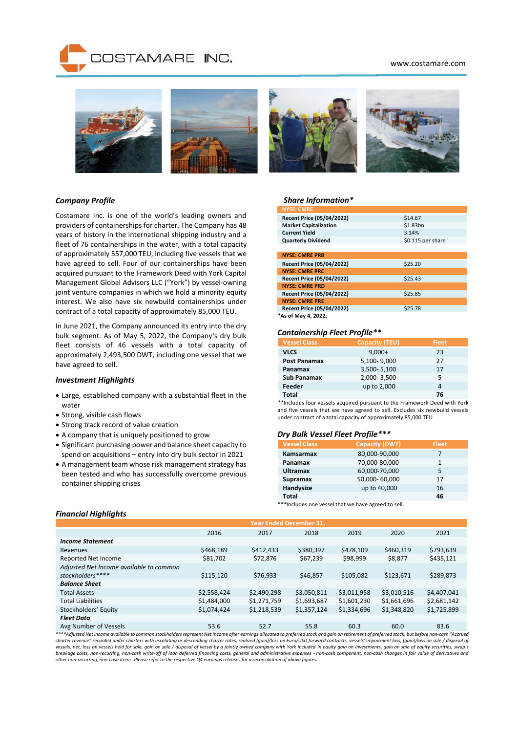## www.costamare.com







# *Company Profile*

Costamare Inc. is one of the world's leading owners and providers of containerships for charter. The Company has 48 years of history in the international shipping industry and a fleet of 76 containerships in the water, with a total capacity of approximately 557,000 TEU, including five vessels that we have agreed to sell. Four of our containerships have been acquired pursuant to the Framework Deed with York Capital Management Global Advisors LLC ("York") by vessel-owning joint venture companies in which we hold a minority equity interest. We also have six newbuild containerships under contract of a total capacity of approximately 85,000 TEU.

In June 2021, the Company announced its entry into the dry bulk segment. As of May 5, 2022, the Company's dry bulk fleet consists of 46 vessels with a total capacity of approximately 2,493,500 DWT, including one vessel that we have agreed to sell.

# *Investment Highlights*

- Large, established company with a substantial fleet in the water
- Strong, visible cash flows
- Strong track record of value creation
- A company that is uniquely positioned to grow
- Significant purchasing power and balance sheet capacity to spend on acquisitions – entry into dry bulk sector in 2021
- A management team whose risk management strategy has been tested and who has successfully overcome previous container shipping crises

#### *Share Information\**

| <b>NYSE: CMRE</b>                |                   |
|----------------------------------|-------------------|
| Recent Price (05/04/2022)        | \$14.67           |
| <b>Market Capitalization</b>     | \$1.83bn          |
| <b>Current Yield</b>             | 3.14%             |
| <b>Quarterly Dividend</b>        | \$0.115 per share |
|                                  |                   |
| <b>NYSE: CMRE PRB</b>            |                   |
| Recent Price (05/04/2022)        | \$25.20           |
| <b>NYSE: CMRE PRC</b>            |                   |
| <b>Recent Price (05/04/2022)</b> | \$25.43           |
| <b>NYSE: CMRE PRD</b>            |                   |
| Recent Price (05/04/2022)        | \$25.85           |
| <b>NYSE: CMRE PRE</b>            |                   |
| Recent Price (05/04/2022)        | \$25.78           |
| *As of May 4, 2022.              |                   |

#### *Containership Fleet Profile\*\**

| <b>Vessel Class</b> | <b>Capacity (TEU)</b> | <b>Fleet</b> |
|---------------------|-----------------------|--------------|
| <b>VLCS</b>         | $9,000+$              | 23           |
| <b>Post Panamax</b> | 5,100-9,000           | 27           |
| Panamax             | 3,500-5,100           | 17           |
| <b>Sub Panamax</b>  | 2,000-3,500           | 5            |
| Feeder              | up to 2,000           | 4            |
| Total               |                       | 76           |

*\*\**Includes four vessels acquired pursuant to the Framework Deed with York and five vessels that we have agreed to sell. Excludes six newbuild vessels under contract of a total capacity of approximately 85,000 TEU.

# *Dry Bulk Vessel Fleet Profile\*\*\**

| <b>Vessel Class</b> | <b>Capacity (DWT)</b> | <b>Fleet</b> |
|---------------------|-----------------------|--------------|
| Kamsarmax           | 80,000-90,000         | 7            |
| Panamax             | 70,000-80,000         | 1            |
| <b>Ultramax</b>     | 60,000-70,000         | 5            |
| <b>Supramax</b>     | 50,000-60,000         | 17           |
| Handysize           | up to 40,000          | 16           |
| Total               |                       | 46           |
| .                   |                       |              |

*\*\*\**Includes one vessel that we have agreed to sell.

|                                                                                                                                                                                                   | <b>Year Ended December 31,</b> |             |             |             |             |             |
|---------------------------------------------------------------------------------------------------------------------------------------------------------------------------------------------------|--------------------------------|-------------|-------------|-------------|-------------|-------------|
|                                                                                                                                                                                                   | 2016                           | 2017        | 2018        | 2019        | 2020        | 2021        |
| <b>Income Statement</b>                                                                                                                                                                           |                                |             |             |             |             |             |
| Revenues                                                                                                                                                                                          | \$468,189                      | \$412,433   | \$380,397   | \$478,109   | \$460,319   | \$793,639   |
| <b>Reported Net Income</b>                                                                                                                                                                        | \$81,702                       | \$72,876    | \$67,239    | \$98,999    | \$8,877     | \$435,121   |
| Adjusted Net Income available to common                                                                                                                                                           |                                |             |             |             |             |             |
| stockholders****                                                                                                                                                                                  | \$115,120                      | \$76.933    | \$46.857    | \$105.082   | \$123,671   | \$289,873   |
| <b>Balance Sheet</b>                                                                                                                                                                              |                                |             |             |             |             |             |
| <b>Total Assets</b>                                                                                                                                                                               | \$2,558,424                    | \$2,490,298 | \$3,050,811 | \$3,011,958 | \$3,010,516 | \$4,407,041 |
| <b>Total Liabilities</b>                                                                                                                                                                          | \$1,484,000                    | \$1,271,759 | \$1,693,687 | \$1,601,230 | \$1,661,696 | \$2,681,142 |
| Stockholders' Equity                                                                                                                                                                              | \$1,074,424                    | \$1,218,539 | \$1,357,124 | \$1,334,696 | \$1,348,820 | \$1,725,899 |
| <b>Fleet Data</b>                                                                                                                                                                                 |                                |             |             |             |             |             |
| Avg Number of Vessels                                                                                                                                                                             | 53.6                           | 52.7        | 55.8        | 60.3        | 60.0        | 83.6        |
| ****Adjusted Net Income available to common stockholders represent Net Income after earnings allocated to preferred stock and gain on retirement of preferred stock, but before non-cash "Accrued |                                |             |             |             |             |             |

*charter revenue" recorded under charters with escalating or descending charter rates, realized (gain)/loss on Euro/USD forward contracts, vessels' impairment loss, (gain)/loss on sale / disposal of*  vessels, net, loss on vessels held for sale, gain on sale / disposal of vessel by a jointly owned company with York included in equity gain on investments, gain on sale of equity securities, swap's<br>breakage costs, non-recu *other non-recurring, non-cash items. Please refer to the respective Q4 earnings releases for a reconciliation of above figures.*

## *Financial Highlights*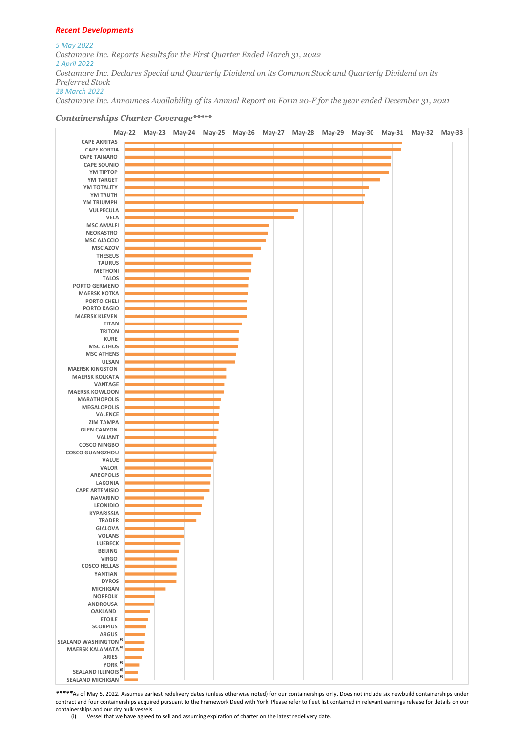## *Recent Developments*

*5 May 2022 Costamare Inc. Reports Results for the First Quarter Ended March 31, 2022 1 April 2022 Costamare Inc. Declares Special and Quarterly Dividend on its Common Stock and Quarterly Dividend on its Preferred Stock 28 March 2022*

*Costamare Inc. Announces Availability of its Annual Report on Form 20-F for the year ended December 31, 2021*

# *Containerships Charter Coverage\*\*\*\*\**



*\*\*\*\*\**As of May 5, 2022. Assumes earliest redelivery dates (unless otherwise noted) for our containerships only. Does not include six newbuild containerships under contract and four containerships acquired pursuant to the Framework Deed with York. Please refer to fleet list contained in relevant earnings release for details on our containerships and our dry bulk vessels.

(i) Vessel that we have agreed to sell and assuming expiration of charter on the latest redelivery date.